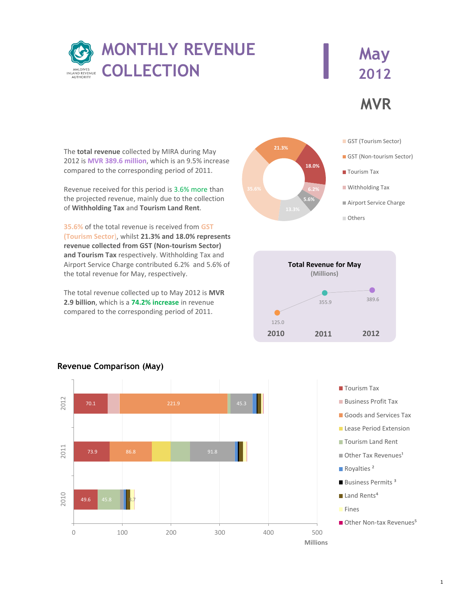

## **MVR May 2012**

The **total revenue** collected by MIRA during May 2012 is **MVR 389.6 million**, which is an 9.5% increase compared to the corresponding period of 2011.

Revenue received for this period is 3.6% more than the projected revenue, mainly due to the collection of **Withholding Tax** and **Tourism Land Rent**.

**35.6%** of the total revenue is received from **GST (Tourism Sector**), whilst **21.3% and 18.0% represents revenue collected from GST (Non-tourism Sector) and Tourism Tax** respectively. Withholding Tax and Airport Service Charge contributed 6.2% and 5.6% of the total revenue for May, respectively.

The total revenue collected up to May 2012 is **MVR 2.9 billion**, which is a **74.2% increase** in revenue compared to the corresponding period of 2011.









## **Revenue Comparison (May)**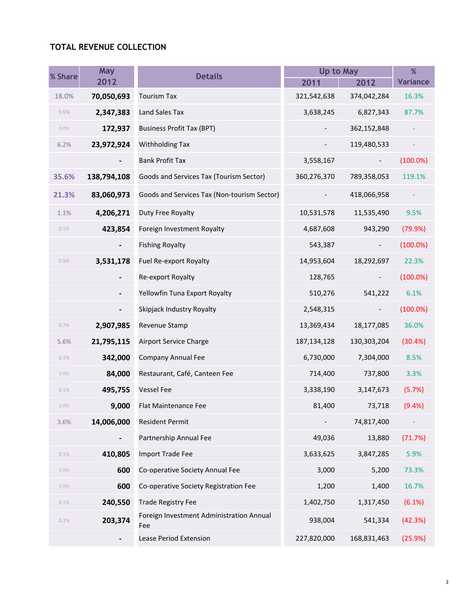## **TOTAL REVENUE COLLECTION**

| % Share | May                          | Up to May<br><b>Details</b>                     |               | %                        |                 |
|---------|------------------------------|-------------------------------------------------|---------------|--------------------------|-----------------|
|         | 2012                         |                                                 | 2011          | 2012                     | <b>Variance</b> |
| 18.0%   | 70,050,693                   | <b>Tourism Tax</b>                              | 321,542,638   | 374,042,284              | 16.3%           |
| 0.6%    | 2,347,383                    | Land Sales Tax                                  | 3,638,245     | 6,827,343                | 87.7%           |
| 0.0%    | 172,937                      | <b>Business Profit Tax (BPT)</b>                |               | 362,152,848              |                 |
| 6.2%    | 23,972,924                   | <b>Withholding Tax</b>                          |               | 119,480,533              |                 |
|         |                              | <b>Bank Profit Tax</b>                          | 3,558,167     |                          | $(100.0\%)$     |
| 35.6%   | 138,794,108                  | Goods and Services Tax (Tourism Sector)         | 360,276,370   | 789,358,053              | 119.1%          |
| 21.3%   | 83,060,973                   | Goods and Services Tax (Non-tourism Sector)     |               | 418,066,958              |                 |
| 1.1%    | 4,206,271                    | Duty Free Royalty                               | 10,531,578    | 11,535,490               | 9.5%            |
| 0.1%    | 423,854                      | Foreign Investment Royalty                      | 4,687,608     | 943,290                  | (79.9%)         |
| $\sim$  | $\qquad \qquad \blacksquare$ | <b>Fishing Royalty</b>                          | 543,387       | $\overline{\phantom{a}}$ | $(100.0\%)$     |
| 0.9%    | 3,531,178                    | Fuel Re-export Royalty                          | 14,953,604    | 18,292,697               | 22.3%           |
|         |                              | Re-export Royalty                               | 128,765       |                          | $(100.0\%)$     |
|         |                              | Yellowfin Tuna Export Royalty                   | 510,276       | 541,222                  | 6.1%            |
|         |                              | Skipjack Industry Royalty                       | 2,548,315     | $\overline{\phantom{a}}$ | $(100.0\%)$     |
| 0.7%    | 2,907,985                    | Revenue Stamp                                   | 13,369,434    | 18,177,085               | 36.0%           |
| 5.6%    | 21,795,115                   | Airport Service Charge                          | 187, 134, 128 | 130,303,204              | (30.4%)         |
| 0.1%    | 342,000                      | <b>Company Annual Fee</b>                       | 6,730,000     | 7,304,000                | 8.5%            |
| 0.0%    | 84,000                       | Restaurant, Café, Canteen Fee                   | 714,400       | 737,800                  | 3.3%            |
| 0.1%    | 495,755                      | <b>Vessel Fee</b>                               | 3,338,190     | 3,147,673                | (5.7%)          |
| 0.0%    | 9,000                        | Flat Maintenance Fee                            | 81,400        | 73,718                   | (9.4% )         |
| 3.6%    | 14,006,000                   | <b>Resident Permit</b>                          |               | 74,817,400               |                 |
| $\sim$  |                              | Partnership Annual Fee                          | 49,036        | 13,880                   | (71.7%)         |
| 0.1%    | 410,805                      | <b>Import Trade Fee</b>                         | 3,633,625     | 3,847,285                | 5.9%            |
| 0.0%    | 600                          | Co-operative Society Annual Fee                 | 3,000         | 5,200                    | 73.3%           |
| 0.0%    | 600                          | Co-operative Society Registration Fee           | 1,200         | 1,400                    | 16.7%           |
| 0.1%    | 240,550                      | <b>Trade Registry Fee</b>                       | 1,402,750     | 1,317,450                | (6.1%)          |
| 0.1%    | 203,374                      | Foreign Investment Administration Annual<br>Fee | 938,004       | 541,334                  | (42.3%)         |
|         | $\blacksquare$               | <b>Lease Period Extension</b>                   | 227,820,000   | 168,831,463              | (25.9%)         |